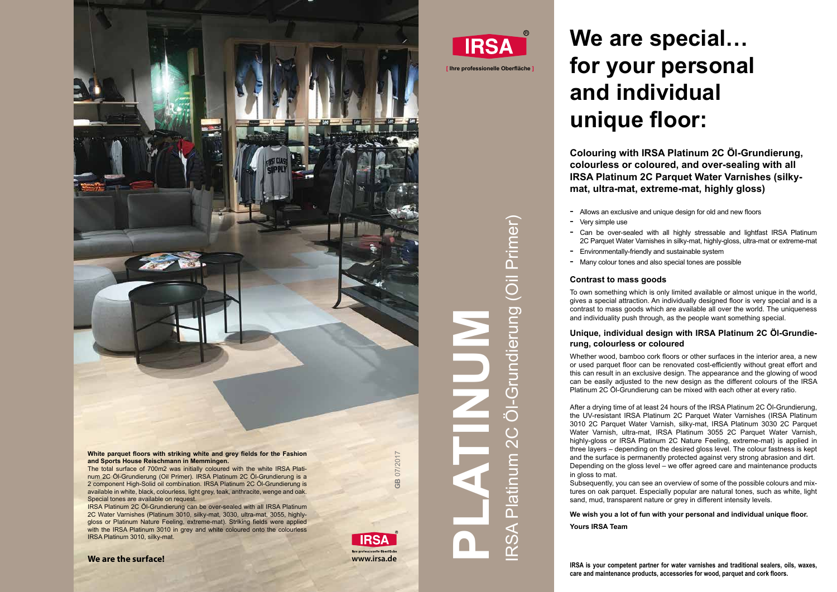# IRSA Platinum 2C Öl-Grundierung (Oil Primer) Grundierung (Oil Primer) **RSA Platinum**

**PLATINUM** 

## **We are special… for your personal and individual unique floor:**

### **Colouring with IRSA Platinum 2C Öl-Grundierung, colourless or coloured, and over-sealing with all IRSA Platinum 2C Parquet Water Varnishes (silkymat, ultra-mat, extreme-mat, highly gloss)**

- Allows an exclusive and unique design for old and new floors

- 
- Very simple use
- Can be over-sealed with all highly stressable and lightfast IRSA Platinum 2C Parquet Water Varnishes in silky-mat, highly-gloss, ultra-mat or extreme-mat - Environmentally-friendly and sustainable system
- 
- Many colour tones and also special tones are possible

#### **Contrast to mass goods**

#### **Unique, individual design with IRSA Platinum 2C Öl-Grundierung, colourless or coloured**

- 
- To own something which is only limited available or almost unique in the world, gives a special attraction. An individually designed floor is very special and is a contrast to mass goods which are available all over the world. The uniqueness and individuality push through, as the people want something special.
- Whether wood, bamboo cork floors or other surfaces in the interior area, a new or used parquet floor can be renovated cost-efficiently without great effort and this can result in an exclusive design. The appearance and the glowing of wood can be easily adjusted to the new design as the different colours of the IRSA Platinum 2C Öl-Grundierung can be mixed with each other at every ratio.
- After a drying time of at least 24 hours of the IRSA Platinum 2C Öl-Grundierung, the UV-resistant IRSA Platinum 2C Parquet Water Varnishes (IRSA Platinum 3010 2C Parquet Water Varnish, silky-mat, IRSA Platinum 3030 2C Parquet Water Varnish, ultra-mat, IRSA Platinum 3055 2C Parquet Water Varnish, highly-gloss or IRSA Platinum 2C Nature Feeling, extreme-mat) is applied in three layers – depending on the desired gloss level. The colour fastness is kept and the surface is permanently protected against very strong abrasion and dirt. Depending on the gloss level – we offer agreed care and maintenance products
- Subsequently, you can see an overview of some of the possible colours and mixtures on oak parquet. Especially popular are natural tones, such as white, light sand, mud, transparent nature or grey in different intensity levels.

White parquet floors with striking white and grey fields for the Fashion<br>
and Sports House Reischmann in Memmingen.<br>
The total surface of 700m2 was initially coloured with the white IRSA Plati-<br>
num 2C Öl-Grundierung (Oil The total surface of 700m2 was initially coloured with the white IRSA Platinum 2C Öl-Grundierung (Oil Primer). IRSA Platinum 2C Öl-Grundierung is a 2 component High-Solid oil combination. IRSA Platinum 2C Öl-Grundierung is available in white, black, colourless, light grey, teak, anthracite, wenge and oak. Special tones are available on request.

in gloss to mat.

#### **We wish you a lot of fun with your personal and individual unique floor.**

**Yours IRSA Team**

**IRSA is your competent partner for water varnishes and traditional sealers, oils, waxes, care and maintenance products, accessories for wood, parquet and cork floors.**

**[ Ihre professionelle Oberfläche ]**



IRSA Platinum 2C Öl-Grundierung can be over-sealed with all IRSA Platinum 2C Water Varnishes (Platinum 3010, silky-mat, 3030, ultra-mat, 3055, highlygloss or Platinum Nature Feeling, extreme-mat). Striking fields were applied with the IRSA Platinum 3010 in grey and white coloured onto the colourless IRSA Platinum 3010, silky-mat.



## **IRSA**